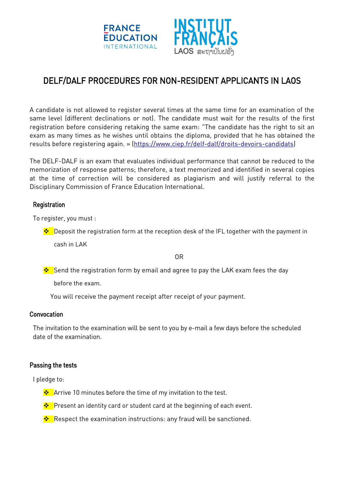



# DELF/DALF PROCEDURES FOR NON-RESIDENT APPLICANTS IN LAOS

A candidate is not allowed to register several times at the same time for an examination of the same level (different declinations or not). The candidate must wait for the results of the first registration before considering retaking the same exam: "The candidate has the right to sit an exam as many times as he wishes until obtains the diploma, provided that he has obtained the results before registering again. » [\(https://www.ciep.fr/delf-dalf/droits-devoirs-candidats\)](https://www.ciep.fr/delf-dalf/droits-devoirs-candidats)

The DELF-DALF is an exam that evaluates individual performance that cannot be reduced to the memorization of response patterns; therefore, a text memorized and identified in several copies at the time of correction will be considered as plagiarism and will justify referral to the Disciplinary Commission of France Education International.

## **Registration**

To register, you must :

 $\cdot \cdot$  Deposit the registration form at the reception desk of the IFL together with the payment in cash in LAK

OR

Send the registration form by email and agree to pay the LAK exam fees the day

before the exam.

You will receive the payment receipt after receipt of your payment.

### **Convocation**

The invitation to the examination will be sent to you by e-mail a few days before the scheduled date of the examination.

### Passing the tests

I pledge to:

- $\bigtriangledown$  Arrive 10 minutes before the time of my invitation to the test.
- <u>❖</u> Present an identity card or student card at the beginning of each event.
- Respect the examination instructions: any fraud will be sanctioned.